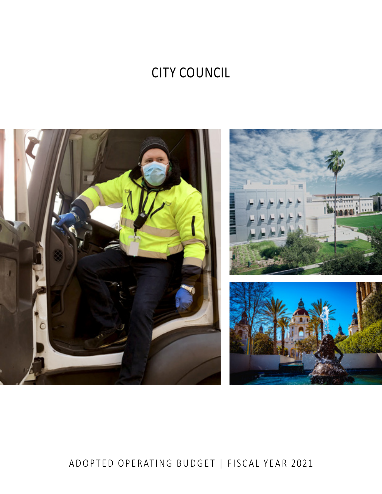# **CITY COUNCIL**



# ADOPTED OPERATING BUDGET | FISCAL YEAR 2021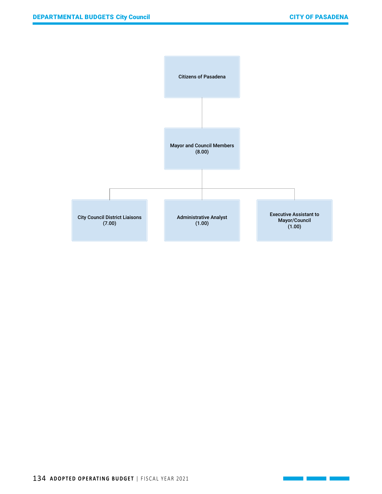$\mathcal{L}(\mathcal{L}^{\mathcal{L}}_{\mathcal{L}})$  , where  $\mathcal{L}^{\mathcal{L}}_{\mathcal{L}}$ 

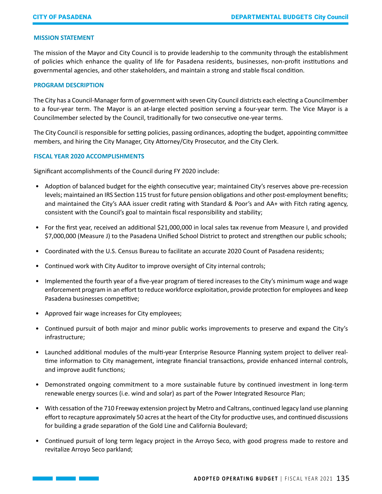## **MISSION STATEMENT**

The mission of the Mayor and City Council is to provide leadership to the community through the establishment of policies which enhance the quality of life for Pasadena residents, businesses, non-profit institutions and governmental agencies, and other stakeholders, and maintain a strong and stable fiscal condition.

#### **PROGRAM DESCRIPTION**

The City has a Council-Manager form of government with seven City Council districts each electing a Councilmember to a four-year term. The Mayor is an at-large elected position serving a four-year term. The Vice Mayor is a Councilmember selected by the Council, traditionally for two consecutive one-year terms.

The City Council is responsible for setting policies, passing ordinances, adopting the budget, appointing committee members, and hiring the City Manager, City Attorney/City Prosecutor, and the City Clerk.

#### **FISCAL YEAR 2020 ACCOMPLISHMENTS**

Significant accomplishments of the Council during FY 2020 include:

- Adoption of balanced budget for the eighth consecutive year; maintained City's reserves above pre-recession levels; maintained an IRS Section 115 trust for future pension obligations and other post-employment benefits; and maintained the City's AAA issuer credit rating with Standard & Poor's and AA+ with Fitch rating agency, consistent with the Council's goal to maintain fiscal responsibility and stability;
- For the first year, received an additional \$21,000,000 in local sales tax revenue from Measure I, and provided \$7,000,000 (Measure J) to the Pasadena Unified School District to protect and strengthen our public schools;
- Coordinated with the U.S. Census Bureau to facilitate an accurate 2020 Count of Pasadena residents;
- Continued work with City Auditor to improve oversight of City internal controls;
- Implemented the fourth year of a five-year program of tiered increases to the City's minimum wage and wage enforcement program in an effort to reduce workforce exploitation, provide protection for employees and keep Pasadena businesses competitive;
- Approved fair wage increases for City employees;
- Continued pursuit of both major and minor public works improvements to preserve and expand the City's infrastructure;
- Launched additional modules of the multi-year Enterprise Resource Planning system project to deliver realtime information to City management, integrate financial transactions, provide enhanced internal controls, and improve audit functions;
- Demonstrated ongoing commitment to a more sustainable future by continued investment in long-term renewable energy sources (i.e. wind and solar) as part of the Power Integrated Resource Plan;
- With cessation of the 710 Freeway extension project by Metro and Caltrans, continued legacy land use planning effort to recapture approximately 50 acres at the heart of the City for productive uses, and continued discussions for building a grade separation of the Gold Line and California Boulevard;
- Continued pursuit of long term legacy project in the Arroyo Seco, with good progress made to restore and revitalize Arroyo Seco parkland;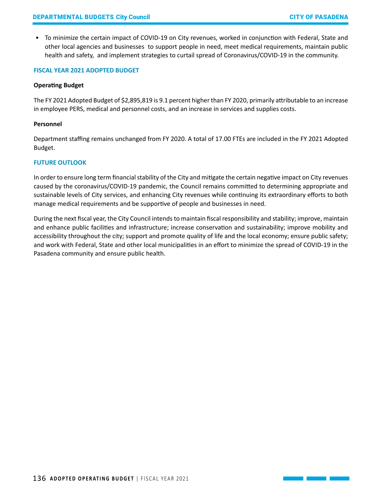• To minimize the certain impact of COVID-19 on City revenues, worked in conjunction with Federal, State and other local agencies and businesses to support people in need, meet medical requirements, maintain public health and safety, and implement strategies to curtail spread of Coronavirus/COVID-19 in the community.

#### **FISCAL YEAR 2021 ADOPTED BUDGET**

#### **Operating Budget**

The FY 2021 Adopted Budget of \$2,895,819 is 9.1 percent higher than FY 2020, primarily attributable to an increase in employee PERS, medical and personnel costs, and an increase in services and supplies costs.

#### **Personnel**

Department staffing remains unchanged from FY 2020. A total of 17.00 FTEs are included in the FY 2021 Adopted Budget.

## **FUTURE OUTLOOK**

In order to ensure long term financial stability of the City and mitigate the certain negative impact on City revenues caused by the coronavirus/COVID-19 pandemic, the Council remains committed to determining appropriate and sustainable levels of City services, and enhancing City revenues while continuing its extraordinary efforts to both manage medical requirements and be supportive of people and businesses in need.

During the next fiscal year, the City Council intends to maintain fiscal responsibility and stability; improve, maintain and enhance public facilities and infrastructure; increase conservation and sustainability; improve mobility and accessibility throughout the city; support and promote quality of life and the local economy; ensure public safety; and work with Federal, State and other local municipalities in an effort to minimize the spread of COVID-19 in the Pasadena community and ensure public health.